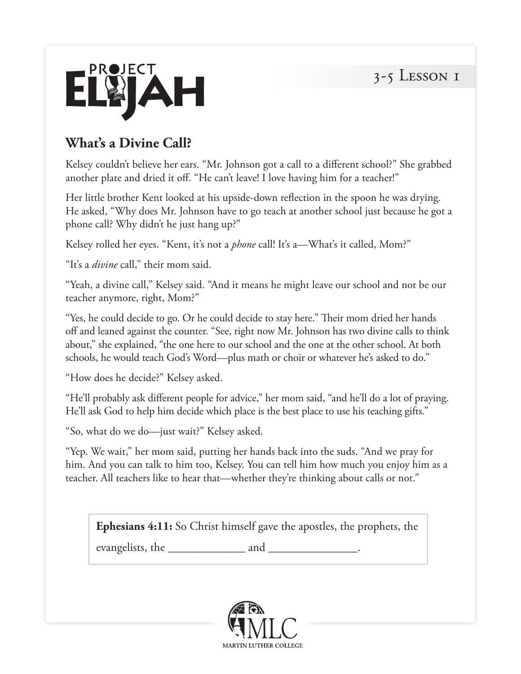

## **What's a Divine Call?**

Kelsey couldn't believe her ears. "Mr. Johnson got a call to a different school?" She grabbed another plate and dried it off. "He can't leave! I love having him for a teacher!"

Her little brother Kent looked at his upside-down reflection in the spoon he was drying. He asked, "Why does Mr. Johnson have to go teach at another school just because he got a phone call? Why didn't he just hang up?"

Kelsey rolled her eyes. "Kent, it's not a *phone* call! It's a—What's it called, Mom?"

"It's a *divine* call," their mom said.

"Yeah, a divine call," Kelsey said. "And it means he might leave our school and not be our teacher anymore, right, Mom?"

"Yes, he could decide to go. Or he could decide to stay here." Their mom dried her hands off and leaned against the counter. "See, right now Mr. Johnson has two divine calls to think about," she explained, "the one here to our school and the one at the other school. At both schools, he would teach God's Word—plus math or choir or whatever he's asked to do."

"How does he decide?" Kelsey asked.

"He'll probably ask different people for advice," her mom said, "and he'll do a lot of praying. He'll ask God to help him decide which place is the best place to use his teaching gifts."

"So, what do we do—just wait?" Kelsey asked.

"Yep. We wait," her mom said, putting her hands back into the suds. "And we pray for him. And you can talk to him too, Kelsey. You can tell him how much you enjoy him as a teacher. All teachers like to hear that—whether they're thinking about calls or not."

**Ephesians 4:11:** So Christ himself gave the apostles, the prophets, the

evangelists, the \_\_\_\_\_\_\_\_\_\_\_\_\_ and \_\_\_\_\_\_\_\_\_\_\_\_\_\_\_.